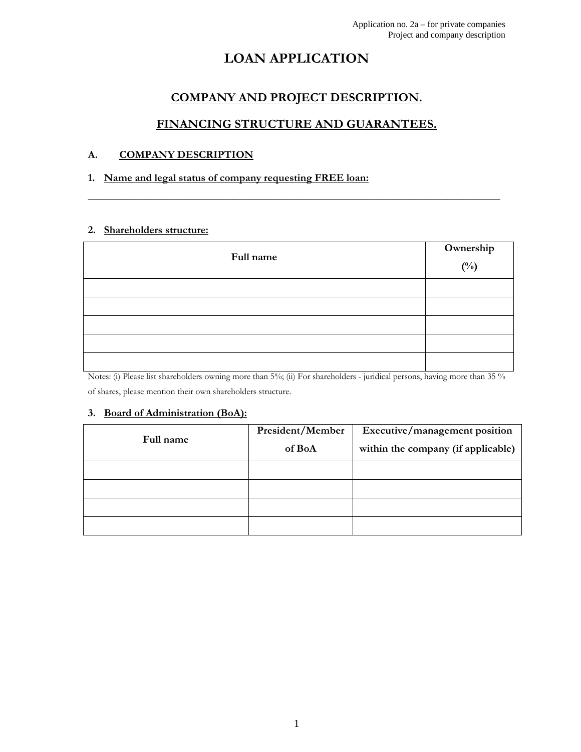# LOAN APPLICATION

# COMPANY AND PROJECT DESCRIPTION.

# FINANCING STRUCTURE AND GUARANTEES.

\_\_\_\_\_\_\_\_\_\_\_\_\_\_\_\_\_\_\_\_\_\_\_\_\_\_\_\_\_\_\_\_\_\_\_\_\_\_\_\_\_\_\_\_\_\_\_\_\_\_\_\_\_\_\_\_\_\_\_\_\_\_\_\_\_\_\_\_\_\_\_\_\_\_\_\_\_

# A. COMPANY DESCRIPTION

# 1. Name and legal status of company requesting FREE loan:

## 2. Shareholders structure:

| Full name | Ownership<br>$\binom{0}{0}$ |
|-----------|-----------------------------|
|           |                             |
|           |                             |
|           |                             |
|           |                             |
|           |                             |

Notes: (i) Please list shareholders owning more than 5%; (ii) For shareholders - juridical persons, having more than 35% of shares, please mention their own shareholders structure.

## 3. Board of Administration (BoA):

| Full name | President/Member<br>of BoA | Executive/management position<br>within the company (if applicable) |
|-----------|----------------------------|---------------------------------------------------------------------|
|           |                            |                                                                     |
|           |                            |                                                                     |
|           |                            |                                                                     |
|           |                            |                                                                     |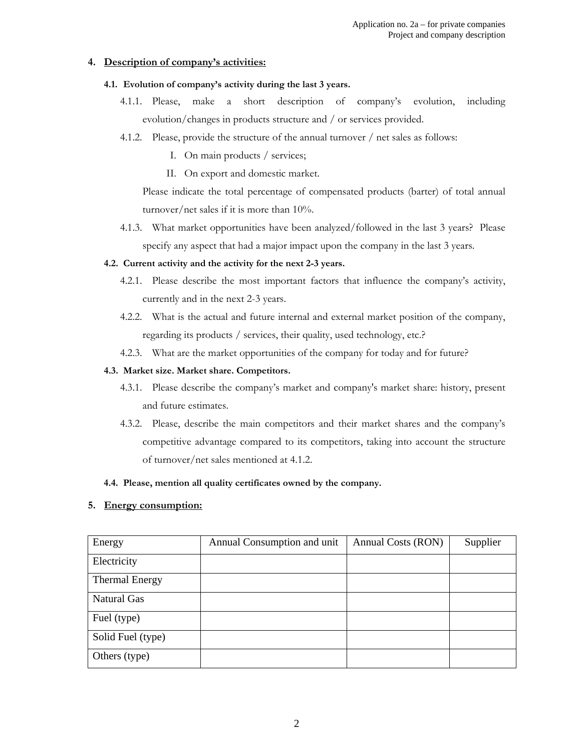### 4. Description of company's activities:

- 4.1. Evolution of company's activity during the last 3 years.
	- 4.1.1. Please, make a short description of company's evolution, including evolution/changes in products structure and / or services provided.
	- 4.1.2. Please, provide the structure of the annual turnover / net sales as follows:
		- I. On main products / services;
		- II. On export and domestic market.

Please indicate the total percentage of compensated products (barter) of total annual turnover/net sales if it is more than 10%.

4.1.3. What market opportunities have been analyzed/followed in the last 3 years? Please specify any aspect that had a major impact upon the company in the last 3 years.

#### 4.2. Current activity and the activity for the next 2-3 years.

- 4.2.1. Please describe the most important factors that influence the company's activity, currently and in the next 2-3 years.
- 4.2.2. What is the actual and future internal and external market position of the company, regarding its products / services, their quality, used technology, etc.?
- 4.2.3. What are the market opportunities of the company for today and for future?

#### 4.3. Market size. Market share. Competitors.

- 4.3.1. Please describe the company's market and company's market share: history, present and future estimates.
- 4.3.2. Please, describe the main competitors and their market shares and the company's competitive advantage compared to its competitors, taking into account the structure of turnover/net sales mentioned at 4.1.2.

#### 4.4. Please, mention all quality certificates owned by the company.

#### 5. Energy consumption:

| Energy                | Annual Consumption and unit | Annual Costs (RON) | Supplier |
|-----------------------|-----------------------------|--------------------|----------|
| Electricity           |                             |                    |          |
| <b>Thermal Energy</b> |                             |                    |          |
| <b>Natural Gas</b>    |                             |                    |          |
| Fuel (type)           |                             |                    |          |
| Solid Fuel (type)     |                             |                    |          |
| Others (type)         |                             |                    |          |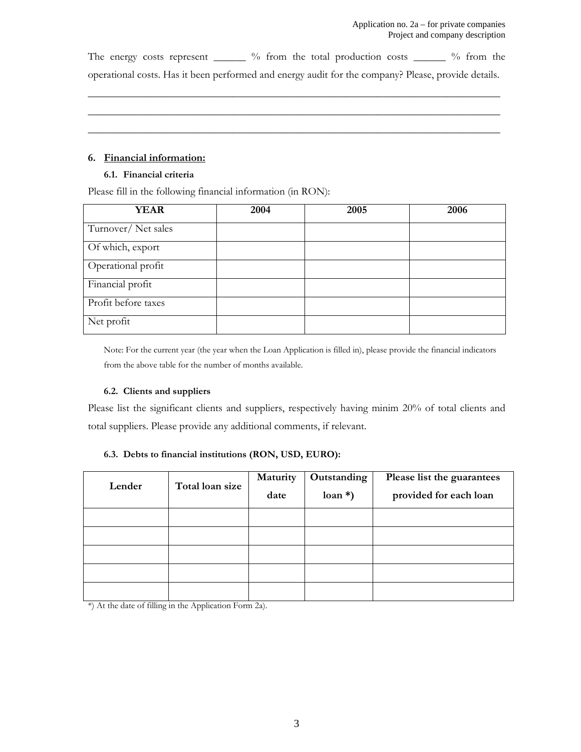The energy costs represent \_\_\_\_\_\_ % from the total production costs \_\_\_\_\_\_ % from the operational costs. Has it been performed and energy audit for the company? Please, provide details.

\_\_\_\_\_\_\_\_\_\_\_\_\_\_\_\_\_\_\_\_\_\_\_\_\_\_\_\_\_\_\_\_\_\_\_\_\_\_\_\_\_\_\_\_\_\_\_\_\_\_\_\_\_\_\_\_\_\_\_\_\_\_\_\_\_\_\_\_\_\_\_\_\_\_\_\_\_ \_\_\_\_\_\_\_\_\_\_\_\_\_\_\_\_\_\_\_\_\_\_\_\_\_\_\_\_\_\_\_\_\_\_\_\_\_\_\_\_\_\_\_\_\_\_\_\_\_\_\_\_\_\_\_\_\_\_\_\_\_\_\_\_\_\_\_\_\_\_\_\_\_\_\_\_\_ \_\_\_\_\_\_\_\_\_\_\_\_\_\_\_\_\_\_\_\_\_\_\_\_\_\_\_\_\_\_\_\_\_\_\_\_\_\_\_\_\_\_\_\_\_\_\_\_\_\_\_\_\_\_\_\_\_\_\_\_\_\_\_\_\_\_\_\_\_\_\_\_\_\_\_\_\_

#### 6. Financial information:

#### 6.1. Financial criteria

Please fill in the following financial information (in RON):

| <b>YEAR</b>         | 2004 | 2005 | 2006 |
|---------------------|------|------|------|
| Turnover/Net sales  |      |      |      |
| Of which, export    |      |      |      |
| Operational profit  |      |      |      |
| Financial profit    |      |      |      |
| Profit before taxes |      |      |      |
| Net profit          |      |      |      |

Note: For the current year (the year when the Loan Application is filled in), please provide the financial indicators from the above table for the number of months available.

#### 6.2. Clients and suppliers

Please list the significant clients and suppliers, respectively having minim 20% of total clients and total suppliers. Please provide any additional comments, if relevant.

#### 6.3. Debts to financial institutions (RON, USD, EURO):

| Lender | Total loan size | Maturity | Outstanding | Please list the guarantees |
|--------|-----------------|----------|-------------|----------------------------|
|        |                 | date     | $\tan *$ )  | provided for each loan     |
|        |                 |          |             |                            |
|        |                 |          |             |                            |
|        |                 |          |             |                            |
|        |                 |          |             |                            |
|        |                 |          |             |                            |

\*) At the date of filling in the Application Form 2a).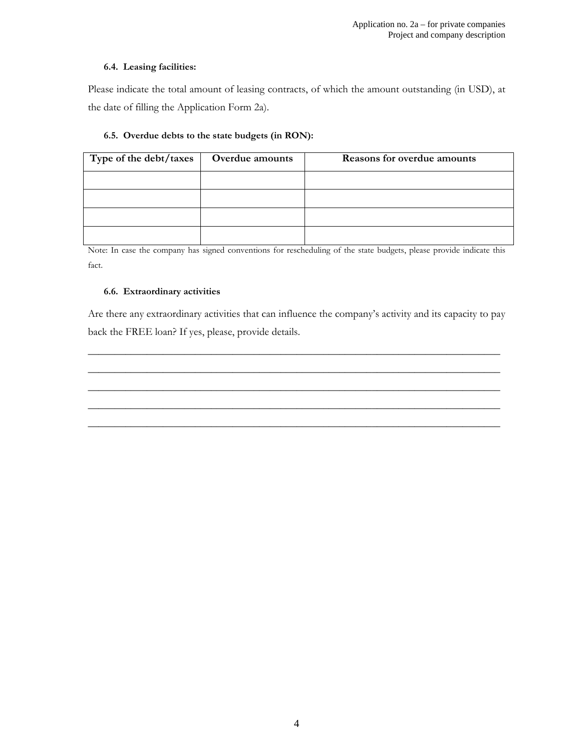#### 6.4. Leasing facilities:

Please indicate the total amount of leasing contracts, of which the amount outstanding (in USD), at the date of filling the Application Form 2a).

## 6.5. Overdue debts to the state budgets (in RON):

| Type of the debt/taxes | Overdue amounts | <b>Reasons for overdue amounts</b> |
|------------------------|-----------------|------------------------------------|
|                        |                 |                                    |
|                        |                 |                                    |
|                        |                 |                                    |
|                        |                 |                                    |

Note: In case the company has signed conventions for rescheduling of the state budgets, please provide indicate this fact.

### 6.6. Extraordinary activities

Are there any extraordinary activities that can influence the company's activity and its capacity to pay back the FREE loan? If yes, please, provide details.

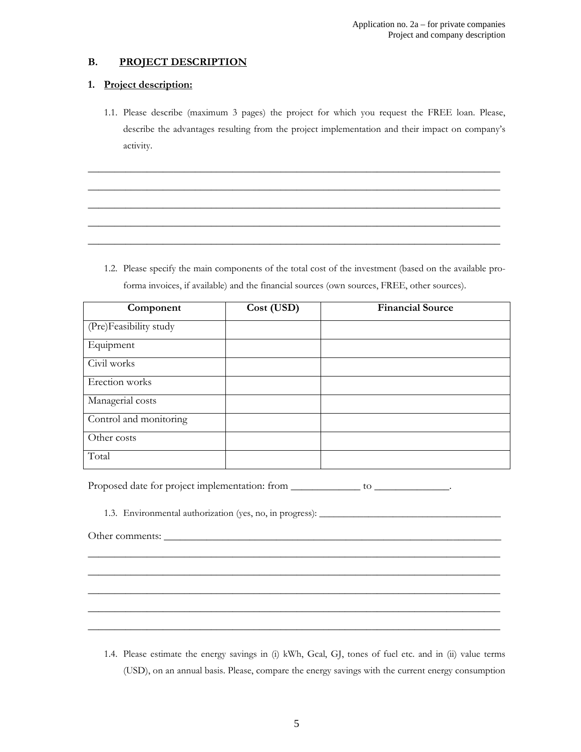# B. PROJECT DESCRIPTION

#### 1. Project description:

1.1. Please describe (maximum 3 pages) the project for which you request the FREE loan. Please, describe the advantages resulting from the project implementation and their impact on company's activity.

\_\_\_\_\_\_\_\_\_\_\_\_\_\_\_\_\_\_\_\_\_\_\_\_\_\_\_\_\_\_\_\_\_\_\_\_\_\_\_\_\_\_\_\_\_\_\_\_\_\_\_\_\_\_\_\_\_\_\_\_\_\_\_\_\_\_\_\_\_\_\_\_\_\_\_\_\_ \_\_\_\_\_\_\_\_\_\_\_\_\_\_\_\_\_\_\_\_\_\_\_\_\_\_\_\_\_\_\_\_\_\_\_\_\_\_\_\_\_\_\_\_\_\_\_\_\_\_\_\_\_\_\_\_\_\_\_\_\_\_\_\_\_\_\_\_\_\_\_\_\_\_\_\_\_ \_\_\_\_\_\_\_\_\_\_\_\_\_\_\_\_\_\_\_\_\_\_\_\_\_\_\_\_\_\_\_\_\_\_\_\_\_\_\_\_\_\_\_\_\_\_\_\_\_\_\_\_\_\_\_\_\_\_\_\_\_\_\_\_\_\_\_\_\_\_\_\_\_\_\_\_\_ \_\_\_\_\_\_\_\_\_\_\_\_\_\_\_\_\_\_\_\_\_\_\_\_\_\_\_\_\_\_\_\_\_\_\_\_\_\_\_\_\_\_\_\_\_\_\_\_\_\_\_\_\_\_\_\_\_\_\_\_\_\_\_\_\_\_\_\_\_\_\_\_\_\_\_\_\_ \_\_\_\_\_\_\_\_\_\_\_\_\_\_\_\_\_\_\_\_\_\_\_\_\_\_\_\_\_\_\_\_\_\_\_\_\_\_\_\_\_\_\_\_\_\_\_\_\_\_\_\_\_\_\_\_\_\_\_\_\_\_\_\_\_\_\_\_\_\_\_\_\_\_\_\_\_

1.2. Please specify the main components of the total cost of the investment (based on the available proforma invoices, if available) and the financial sources (own sources, FREE, other sources).

| Component              | Cost (USD) | <b>Financial Source</b> |
|------------------------|------------|-------------------------|
| (Pre)Feasibility study |            |                         |
| Equipment              |            |                         |
| Civil works            |            |                         |
| Erection works         |            |                         |
| Managerial costs       |            |                         |
| Control and monitoring |            |                         |
| Other costs            |            |                         |
| Total                  |            |                         |

Proposed date for project implementation: from \_\_\_\_\_\_\_\_\_\_\_\_\_\_\_ to \_\_\_\_\_\_\_\_\_\_\_\_\_.

1.3. Environmental authorization (yes, no, in progress): \_\_\_\_\_\_\_\_\_\_\_\_\_\_\_\_\_\_\_\_\_\_\_\_\_\_\_\_\_\_\_\_\_\_\_\_\_

| $\sim$<br>Other comments: |
|---------------------------|
|                           |

1.4. Please estimate the energy savings in (i) kWh, Gcal, GJ, tones of fuel etc. and in (ii) value terms (USD), on an annual basis. Please, compare the energy savings with the current energy consumption

\_\_\_\_\_\_\_\_\_\_\_\_\_\_\_\_\_\_\_\_\_\_\_\_\_\_\_\_\_\_\_\_\_\_\_\_\_\_\_\_\_\_\_\_\_\_\_\_\_\_\_\_\_\_\_\_\_\_\_\_\_\_\_\_\_\_\_\_\_\_\_\_\_\_\_\_\_ \_\_\_\_\_\_\_\_\_\_\_\_\_\_\_\_\_\_\_\_\_\_\_\_\_\_\_\_\_\_\_\_\_\_\_\_\_\_\_\_\_\_\_\_\_\_\_\_\_\_\_\_\_\_\_\_\_\_\_\_\_\_\_\_\_\_\_\_\_\_\_\_\_\_\_\_\_ \_\_\_\_\_\_\_\_\_\_\_\_\_\_\_\_\_\_\_\_\_\_\_\_\_\_\_\_\_\_\_\_\_\_\_\_\_\_\_\_\_\_\_\_\_\_\_\_\_\_\_\_\_\_\_\_\_\_\_\_\_\_\_\_\_\_\_\_\_\_\_\_\_\_\_\_\_ \_\_\_\_\_\_\_\_\_\_\_\_\_\_\_\_\_\_\_\_\_\_\_\_\_\_\_\_\_\_\_\_\_\_\_\_\_\_\_\_\_\_\_\_\_\_\_\_\_\_\_\_\_\_\_\_\_\_\_\_\_\_\_\_\_\_\_\_\_\_\_\_\_\_\_\_\_ \_\_\_\_\_\_\_\_\_\_\_\_\_\_\_\_\_\_\_\_\_\_\_\_\_\_\_\_\_\_\_\_\_\_\_\_\_\_\_\_\_\_\_\_\_\_\_\_\_\_\_\_\_\_\_\_\_\_\_\_\_\_\_\_\_\_\_\_\_\_\_\_\_\_\_\_\_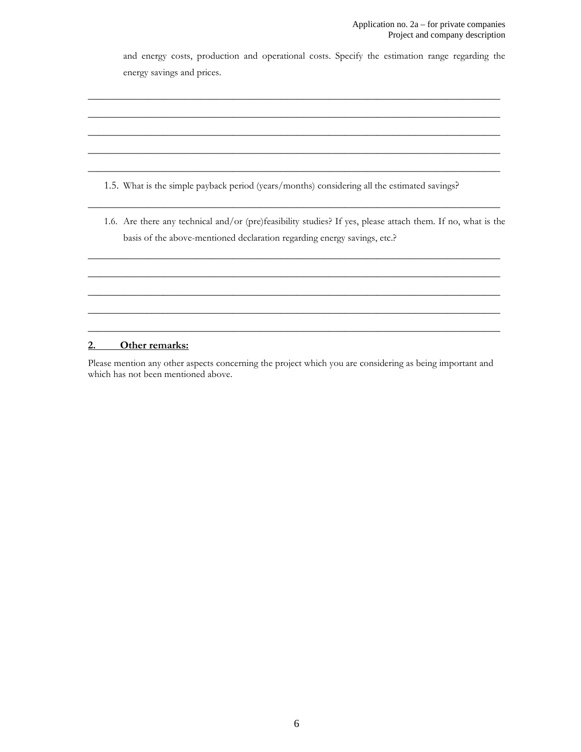and energy costs, production and operational costs. Specify the estimation range regarding the energy savings and prices.

\_\_\_\_\_\_\_\_\_\_\_\_\_\_\_\_\_\_\_\_\_\_\_\_\_\_\_\_\_\_\_\_\_\_\_\_\_\_\_\_\_\_\_\_\_\_\_\_\_\_\_\_\_\_\_\_\_\_\_\_\_\_\_\_\_\_\_\_\_\_\_\_\_\_\_\_\_ \_\_\_\_\_\_\_\_\_\_\_\_\_\_\_\_\_\_\_\_\_\_\_\_\_\_\_\_\_\_\_\_\_\_\_\_\_\_\_\_\_\_\_\_\_\_\_\_\_\_\_\_\_\_\_\_\_\_\_\_\_\_\_\_\_\_\_\_\_\_\_\_\_\_\_\_\_ \_\_\_\_\_\_\_\_\_\_\_\_\_\_\_\_\_\_\_\_\_\_\_\_\_\_\_\_\_\_\_\_\_\_\_\_\_\_\_\_\_\_\_\_\_\_\_\_\_\_\_\_\_\_\_\_\_\_\_\_\_\_\_\_\_\_\_\_\_\_\_\_\_\_\_\_\_ \_\_\_\_\_\_\_\_\_\_\_\_\_\_\_\_\_\_\_\_\_\_\_\_\_\_\_\_\_\_\_\_\_\_\_\_\_\_\_\_\_\_\_\_\_\_\_\_\_\_\_\_\_\_\_\_\_\_\_\_\_\_\_\_\_\_\_\_\_\_\_\_\_\_\_\_\_ \_\_\_\_\_\_\_\_\_\_\_\_\_\_\_\_\_\_\_\_\_\_\_\_\_\_\_\_\_\_\_\_\_\_\_\_\_\_\_\_\_\_\_\_\_\_\_\_\_\_\_\_\_\_\_\_\_\_\_\_\_\_\_\_\_\_\_\_\_\_\_\_\_\_\_\_\_

- 1.5. What is the simple payback period (years/months) considering all the estimated savings?
- 1.6. Are there any technical and/or (pre)feasibility studies? If yes, please attach them. If no, what is the basis of the above-mentioned declaration regarding energy savings, etc.?

\_\_\_\_\_\_\_\_\_\_\_\_\_\_\_\_\_\_\_\_\_\_\_\_\_\_\_\_\_\_\_\_\_\_\_\_\_\_\_\_\_\_\_\_\_\_\_\_\_\_\_\_\_\_\_\_\_\_\_\_\_\_\_\_\_\_\_\_\_\_\_\_\_\_\_\_\_

\_\_\_\_\_\_\_\_\_\_\_\_\_\_\_\_\_\_\_\_\_\_\_\_\_\_\_\_\_\_\_\_\_\_\_\_\_\_\_\_\_\_\_\_\_\_\_\_\_\_\_\_\_\_\_\_\_\_\_\_\_\_\_\_\_\_\_\_\_\_\_\_\_\_\_\_\_ \_\_\_\_\_\_\_\_\_\_\_\_\_\_\_\_\_\_\_\_\_\_\_\_\_\_\_\_\_\_\_\_\_\_\_\_\_\_\_\_\_\_\_\_\_\_\_\_\_\_\_\_\_\_\_\_\_\_\_\_\_\_\_\_\_\_\_\_\_\_\_\_\_\_\_\_\_ \_\_\_\_\_\_\_\_\_\_\_\_\_\_\_\_\_\_\_\_\_\_\_\_\_\_\_\_\_\_\_\_\_\_\_\_\_\_\_\_\_\_\_\_\_\_\_\_\_\_\_\_\_\_\_\_\_\_\_\_\_\_\_\_\_\_\_\_\_\_\_\_\_\_\_\_\_ \_\_\_\_\_\_\_\_\_\_\_\_\_\_\_\_\_\_\_\_\_\_\_\_\_\_\_\_\_\_\_\_\_\_\_\_\_\_\_\_\_\_\_\_\_\_\_\_\_\_\_\_\_\_\_\_\_\_\_\_\_\_\_\_\_\_\_\_\_\_\_\_\_\_\_\_\_ \_\_\_\_\_\_\_\_\_\_\_\_\_\_\_\_\_\_\_\_\_\_\_\_\_\_\_\_\_\_\_\_\_\_\_\_\_\_\_\_\_\_\_\_\_\_\_\_\_\_\_\_\_\_\_\_\_\_\_\_\_\_\_\_\_\_\_\_\_\_\_\_\_\_\_\_\_

#### 2. Other remarks:

Please mention any other aspects concerning the project which you are considering as being important and which has not been mentioned above.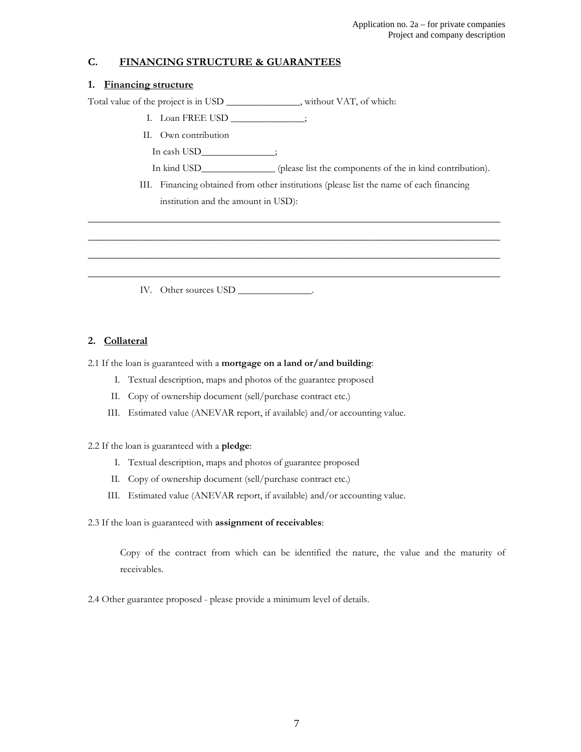### C. FINANCING STRUCTURE & GUARANTEES

#### 1. Financing structure

Total value of the project is in USD \_\_\_\_\_\_\_\_\_\_\_\_\_\_\_, without VAT, of which:

- I. Loan FREE USD \_\_\_\_\_\_\_\_\_\_\_\_\_\_\_;
- II. Own contribution
	- In cash USD is
	- In kind USD\_\_\_\_\_\_\_\_\_\_\_\_\_\_\_ (please list the components of the in kind contribution).
- III. Financing obtained from other institutions (please list the name of each financing institution and the amount in USD):

\_\_\_\_\_\_\_\_\_\_\_\_\_\_\_\_\_\_\_\_\_\_\_\_\_\_\_\_\_\_\_\_\_\_\_\_\_\_\_\_\_\_\_\_\_\_\_\_\_\_\_\_\_\_\_\_\_\_\_\_\_\_\_\_\_\_\_\_\_\_\_\_\_\_\_\_\_ \_\_\_\_\_\_\_\_\_\_\_\_\_\_\_\_\_\_\_\_\_\_\_\_\_\_\_\_\_\_\_\_\_\_\_\_\_\_\_\_\_\_\_\_\_\_\_\_\_\_\_\_\_\_\_\_\_\_\_\_\_\_\_\_\_\_\_\_\_\_\_\_\_\_\_\_\_ \_\_\_\_\_\_\_\_\_\_\_\_\_\_\_\_\_\_\_\_\_\_\_\_\_\_\_\_\_\_\_\_\_\_\_\_\_\_\_\_\_\_\_\_\_\_\_\_\_\_\_\_\_\_\_\_\_\_\_\_\_\_\_\_\_\_\_\_\_\_\_\_\_\_\_\_\_ \_\_\_\_\_\_\_\_\_\_\_\_\_\_\_\_\_\_\_\_\_\_\_\_\_\_\_\_\_\_\_\_\_\_\_\_\_\_\_\_\_\_\_\_\_\_\_\_\_\_\_\_\_\_\_\_\_\_\_\_\_\_\_\_\_\_\_\_\_\_\_\_\_\_\_\_\_

IV. Other sources USD \_\_\_\_\_\_\_\_\_\_\_\_\_\_.

#### 2. Collateral

#### 2.1 If the loan is guaranteed with a mortgage on a land or/and building:

- I. Textual description, maps and photos of the guarantee proposed
- II. Copy of ownership document (sell/purchase contract etc.)
- III. Estimated value (ANEVAR report, if available) and/or accounting value.

#### 2.2 If the loan is guaranteed with a pledge:

- I. Textual description, maps and photos of guarantee proposed
- II. Copy of ownership document (sell/purchase contract etc.)
- III. Estimated value (ANEVAR report, if available) and/or accounting value.
- 2.3 If the loan is guaranteed with assignment of receivables:

Copy of the contract from which can be identified the nature, the value and the maturity of receivables.

2.4 Other guarantee proposed - please provide a minimum level of details.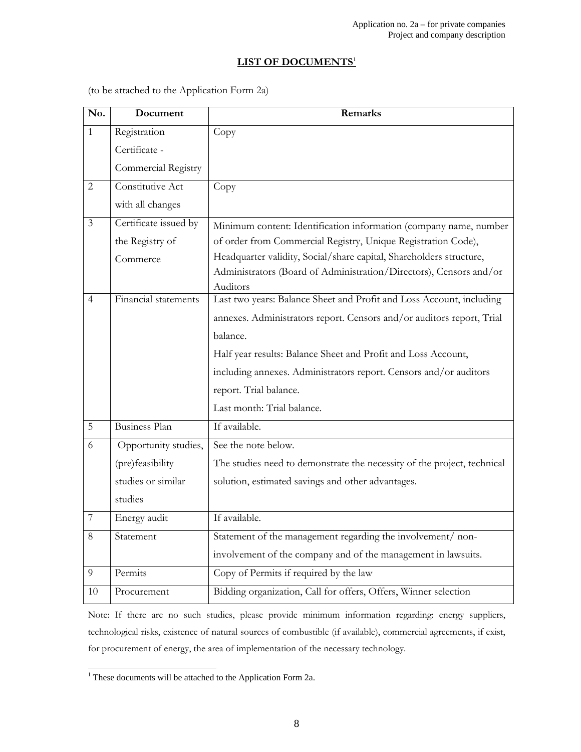# LIST OF DOCUMENTS<sup>1</sup>

(to be attached to the Application Form 2a)

| No.            | Document              | Remarks                                                                 |
|----------------|-----------------------|-------------------------------------------------------------------------|
| $\mathbf{1}$   | Registration          | Copy                                                                    |
|                | Certificate -         |                                                                         |
|                | Commercial Registry   |                                                                         |
| $\mathbf{2}$   | Constitutive Act      | Copy                                                                    |
|                | with all changes      |                                                                         |
| $\mathfrak{Z}$ | Certificate issued by | Minimum content: Identification information (company name, number       |
|                | the Registry of       | of order from Commercial Registry, Unique Registration Code),           |
|                | Commerce              | Headquarter validity, Social/share capital, Shareholders structure,     |
|                |                       | Administrators (Board of Administration/Directors), Censors and/or      |
|                |                       | Auditors                                                                |
| $\overline{4}$ | Financial statements  | Last two years: Balance Sheet and Profit and Loss Account, including    |
|                |                       | annexes. Administrators report. Censors and/or auditors report, Trial   |
|                |                       | balance.                                                                |
|                |                       | Half year results: Balance Sheet and Profit and Loss Account,           |
|                |                       | including annexes. Administrators report. Censors and/or auditors       |
|                |                       | report. Trial balance.                                                  |
|                |                       | Last month: Trial balance.                                              |
| 5              | <b>Business Plan</b>  | If available.                                                           |
| 6              | Opportunity studies,  | See the note below.                                                     |
|                | (pre)feasibility      | The studies need to demonstrate the necessity of the project, technical |
|                | studies or similar    | solution, estimated savings and other advantages.                       |
|                | studies               |                                                                         |
| 7              | Energy audit          | If available.                                                           |
| 8              | Statement             | Statement of the management regarding the involvement/ non-             |
|                |                       | involvement of the company and of the management in lawsuits.           |
| 9              | Permits               | Copy of Permits if required by the law                                  |
| 10             | Procurement           | Bidding organization, Call for offers, Offers, Winner selection         |

Note: If there are no such studies, please provide minimum information regarding: energy suppliers, technological risks, existence of natural sources of combustible (if available), commercial agreements, if exist, for procurement of energy, the area of implementation of the necessary technology.

 1 These documents will be attached to the Application Form 2a.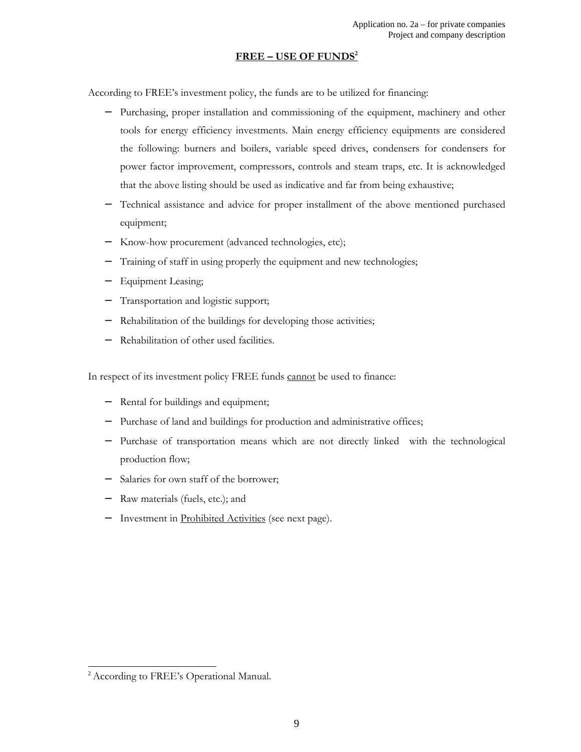#### FREE – USE OF FUNDS<sup>2</sup>

According to FREE's investment policy, the funds are to be utilized for financing:

- − Purchasing, proper installation and commissioning of the equipment, machinery and other tools for energy efficiency investments. Main energy efficiency equipments are considered the following: burners and boilers, variable speed drives, condensers for condensers for power factor improvement, compressors, controls and steam traps, etc. It is acknowledged that the above listing should be used as indicative and far from being exhaustive;
- − Technical assistance and advice for proper installment of the above mentioned purchased equipment;
- − Know-how procurement (advanced technologies, etc);
- − Training of staff in using properly the equipment and new technologies;
- − Equipment Leasing;
- Transportation and logistic support;
- − Rehabilitation of the buildings for developing those activities;
- Rehabilitation of other used facilities.

In respect of its investment policy FREE funds cannot be used to finance:

- − Rental for buildings and equipment;
- − Purchase of land and buildings for production and administrative offices;
- − Purchase of transportation means which are not directly linked with the technological production flow;
- − Salaries for own staff of the borrower;
- − Raw materials (fuels, etc.); and
- Investment in Prohibited Activities (see next page).

 $\overline{a}$ 

<sup>&</sup>lt;sup>2</sup> According to FREE's Operational Manual.